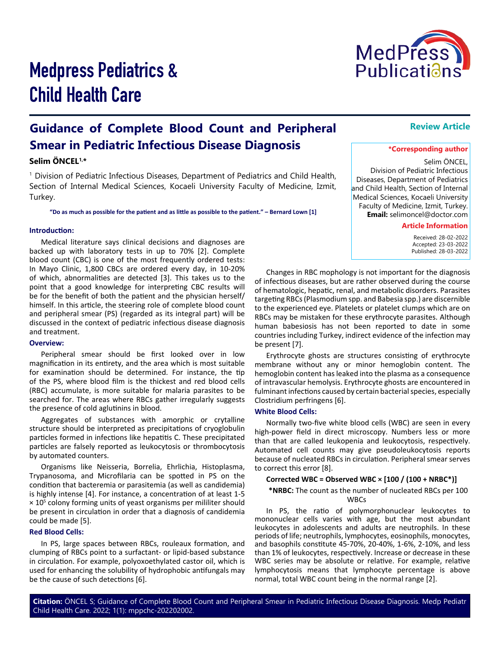

# Medpress Pediatrics & Child Health Care

# **Guidance of Complete Blood Count and Peripheral Smear in Pediatric Infectious Disease Diagnosis**

### **Selim ÖNCEL1,\***

1 Division of Pediatric Infectious Diseases, Department of Pediatrics and Child Health, Section of Internal Medical Sciences, Kocaeli University Faculty of Medicine, Izmit, Turkey.

**"Do as much as possible for the patient and as little as possible to the patient." – Bernard Lown [1]**

#### **Introduction:**

Medical literature says clinical decisions and diagnoses are backed up with laboratory tests in up to 70% [2]. Complete blood count (CBC) is one of the most frequently ordered tests: In Mayo Clinic, 1,800 CBCs are ordered every day, in 10-20% of which, abnormalities are detected [3]. This takes us to the point that a good knowledge for interpreting CBC results will be for the benefit of both the patient and the physician herself/ himself. In this article, the steering role of complete blood count and peripheral smear (PS) (regarded as its integral part) will be discussed in the context of pediatric infectious disease diagnosis and treatment.

#### **Overview:**

Peripheral smear should be first looked over in low magnification in its entirety, and the area which is most suitable for examination should be determined. For instance, the tip of the PS, where blood film is the thickest and red blood cells (RBC) accumulate, is more suitable for malaria parasites to be searched for. The areas where RBCs gather irregularly suggests the presence of cold aglutinins in blood.

Aggregates of substances with amorphic or crytalline structure should be interpreted as precipitations of cryoglobulin particles formed in infections like hepatitis C. These precipitated particles are falsely reported as leukocytosis or thrombocytosis by automated counters.

Organisms like Neisseria, Borrelia, Ehrlichia, Histoplasma, Trypanosoma, and Microfilaria can be spotted in PS on the condition that bacteremia or parasitemia (as well as candidemia) is highly intense [4]. For instance, a concentration of at least 1-5 × 10<sup>5</sup> colony forming units of yeast organisms per mililiter should be present in circulation in order that a diagnosis of candidemia could be made [5].

#### **Red Blood Cells:**

In PS, large spaces between RBCs, rouleaux formation, and clumping of RBCs point to a surfactant- or lipid-based substance in circulation. For example, polyoxoethylated castor oil, which is used for enhancing the solubility of hydrophobic antifungals may be the cause of such detections [6].

# **Review Article**

#### **\*Corresponding author**

Selim ÖNCEL, Division of Pediatric Infectious Diseases, Department of Pediatrics and Child Health, Section of Internal Medical Sciences, Kocaeli University Faculty of Medicine, Izmit, Turkey. **Email:** selimoncel@doctor.com

#### **Article Information**

 Received: 28-02-2022 Accepted: 23-03-2022 Published: 28-03-2022

Changes in RBC mophology is not important for the diagnosis of infectious diseases, but are rather observed during the course of hematologic, hepatic, renal, and metabolic disorders. Parasites targeting RBCs (Plasmodium spp. and Babesia spp.) are discernible to the experienced eye. Platelets or platelet clumps which are on RBCs may be mistaken for these erythrocyte parasites. Although human babesiosis has not been reported to date in some countries including Turkey, indirect evidence of the infection may be present [7].

Erythrocyte ghosts are structures consisting of erythrocyte membrane without any or minor hemoglobin content. The hemoglobin content has leaked into the plasma as a consequence of intravascular hemolysis. Erythrocyte ghosts are encountered in fulminant infections caused by certain bacterial species, especially Clostridium perfringens [6].

#### **White Blood Cells:**

Normally two-five white blood cells (WBC) are seen in every high-power field in direct microscopy. Numbers less or more than that are called leukopenia and leukocytosis, respectively. Automated cell counts may give pseudoleukocytosis reports because of nucleated RBCs in circulation. Peripheral smear serves to correct this error [8].

#### **Corrected WBC = Observed WBC × [100 / (100 + NRBC\*)]**

#### **\*NRBC:** The count as the number of nucleated RBCs per 100 WBCs

In PS, the ratio of polymorphonuclear leukocytes to mononuclear cells varies with age, but the most abundant leukocytes in adolescents and adults are neutrophils. In these periods of life; neutrophils, lymphocytes, eosinophils, monocytes, and basophils constitute 45-70%, 20-40%, 1-6%, 2-10%, and less than 1% of leukocytes, respectively. Increase or decrease in these WBC series may be absolute or relative. For example, relative lymphocytosis means that lymphocyte percentage is above normal, total WBC count being in the normal range [2].

**Citation:** ÖNCEL S; Guidance of Complete Blood Count and Peripheral Smear in Pediatric Infectious Disease Diagnosis. Medp Pediatr Child Health Care. 2022; 1(1): mppchc-202202002.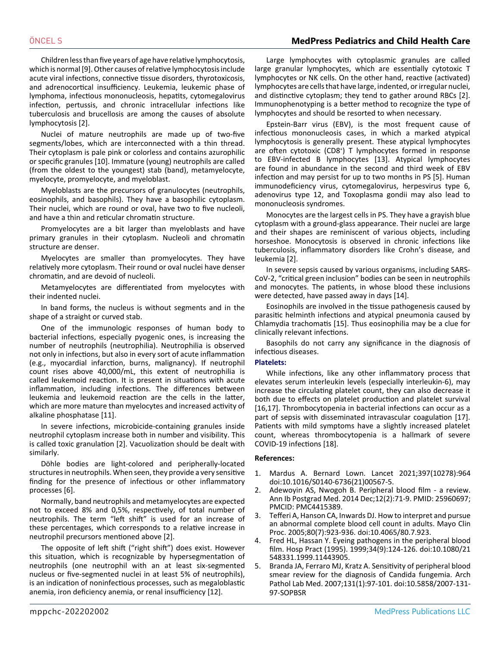Children less than five years of age have relative lymphocytosis, which is normal [9]. Other causes of relative lymphocytosis include acute viral infections, connective tissue disorders, thyrotoxicosis, and adrenocortical insufficiency. Leukemia, leukemic phase of lymphoma, infectious mononucleosis, hepatits, cytomegalovirus infection, pertussis, and chronic intracellular infections like tuberculosis and brucellosis are among the causes of absolute lymphocytosis [2].

Nuclei of mature neutrophils are made up of two-five segments/lobes, which are interconnected with a thin thread. Their cytoplasm is pale pink or colorless and contains azurophilic or specific granules [10]. Immature (young) neutrophils are called (from the oldest to the youngest) stab (band), metamyelocyte, myelocyte, promyelocyte, and myeloblast.

Myeloblasts are the precursors of granulocytes (neutrophils, eosinophils, and basophils). They have a basophilic cytoplasm. Their nuclei, which are round or oval, have two to five nucleoli, and have a thin and reticular chromatin structure.

Promyelocytes are a bit larger than myeloblasts and have primary granules in their cytoplasm. Nucleoli and chromatin structure are denser.

Myelocytes are smaller than promyelocytes. They have relatively more cytoplasm. Their round or oval nuclei have denser chromatin, and are devoid of nucleoli.

Metamyelocytes are differentiated from myelocytes with their indented nuclei.

In band forms, the nucleus is without segments and in the shape of a straight or curved stab.

One of the immunologic responses of human body to bacterial infections, especially pyogenic ones, is increasing the number of neutrophils (neutrophilia). Neutrophilia is observed not only in infections, but also in every sort of acute inflammation (e.g., myocardial infarction, burns, malignancy). If neutrophil count rises above 40,000/mL, this extent of neutrophilia is called leukemoid reaction. It is present in situations with acute inflammation, including infections. The differences between leukemia and leukemoid reaction are the cells in the latter, which are more mature than myelocytes and increased activity of alkaline phosphatase [11].

In severe infections, microbicide-containing granules inside neutrophil cytoplasm increase both in number and visibility. This is called toxic granulation [2]. Vacuolization should be dealt with similarly.

Döhle bodies are light-colored and peripherally-located structures in neutrophils. When seen, they provide a very sensitive finding for the presence of infectious or other inflammatory processes [6].

Normally, band neutrophils and metamyelocytes are expected not to exceed 8% and 0,5%, respectively, of total number of neutrophils. The term "left shift" is used for an increase of these percentages, which corresponds to a relative increase in neutrophil precursors mentioned above [2].

The opposite of left shift ("right shift") does exist. However this situation, which is recognizable by hypersegmentation of neutrophils (one neutrophil with an at least six-segmented nucleus or five-segmented nuclei in at least 5% of neutrophils), is an indication of noninfectious processes, such as megaloblastic anemia, iron deficiency anemia, or renal insufficiency [12].

Large lymphocytes with cytoplasmic granules are called large granular lymphocytes, which are essentially cytotoxic T lymphocytes or NK cells. On the other hand, reactive (activated) lymphocytes are cells that have large, indented, or irregular nuclei, and distinctive cytoplasm; they tend to gather around RBCs [2]. Immunophenotyping is a better method to recognize the type of lymphocytes and should be resorted to when necessary.

Epstein-Barr virus (EBV), is the most frequent cause of infectious mononucleosis cases, in which a marked atypical lymphocytosis is generally present. These atypical lymphocytes are often cytotoxic (CD8<sup>+</sup> ) T lymphocytes formed in response to EBV-infected B lymphocytes [13]. Atypical lymphocytes are found in abundance in the second and third week of EBV infection and may persist for up to two months in PS [5]. Human immunodeficiency virus, cytomegalovirus, herpesvirus type 6, adenovirus type 12, and Toxoplasma gondii may also lead to mononucleosis syndromes.

Monocytes are the largest cells in PS. They have a grayish blue cytoplasm with a ground-glass appearance. Their nuclei are large and their shapes are reminiscent of various objects, including horseshoe. Monocytosis is observed in chronic infections like tuberculosis, inflammatory disorders like Crohn's disease, and leukemia [2].

In severe sepsis caused by various organisms, including SARS-CoV-2, "critical green inclusion" bodies can be seen in neutrophils and monocytes. The patients, in whose blood these inclusions were detected, have passed away in days [14].

Eosinophils are involved in the tissue pathogenesis caused by parasitic helminth infections and atypical pneumonia caused by Chlamydia trachomatis [15]. Thus eosinophilia may be a clue for clinically relevant infections.

Basophils do not carry any significance in the diagnosis of infectious diseases.

## **Platelets:**

While infections, like any other inflammatory process that elevates serum interleukin levels (especially interleukin-6), may increase the circulating platelet count, they can also decrease it both due to effects on platelet production and platelet survival [16,17]. Thrombocytopenia in bacterial infections can occur as a part of sepsis with disseminated intravascular coagulation [17]. Patients with mild symptoms have a slightly increased platelet count, whereas thrombocytopenia is a hallmark of severe COVID-19 infections [18].

#### **References:**

- 1. Mardus A. Bernard Lown. Lancet 2021;397(10278):964 doi:10.1016/S0140-6736(21)00567-5.
- 2. [Adewoyin AS, Nwogoh B. Peripheral blood film a review.](https://www.ncbi.nlm.nih.gov/pmc/articles/PMC4415389/) [Ann Ib Postgrad Med. 2014 Dec;12\(2\):71-9. PMID: 25960697;](https://www.ncbi.nlm.nih.gov/pmc/articles/PMC4415389/) [PMCID: PMC4415389.](https://www.ncbi.nlm.nih.gov/pmc/articles/PMC4415389/)
- 3. [Tefferi A, Hanson CA, Inwards DJ. How to interpret and pursue](https://pubmed.ncbi.nlm.nih.gov/16007898/) [an abnormal complete blood cell count in adults. Mayo Clin](https://pubmed.ncbi.nlm.nih.gov/16007898/) [Proc. 2005;80\(7\):923-936. doi:10.4065/80.7.923.](https://pubmed.ncbi.nlm.nih.gov/16007898/)
- 4. [Fred HL, Hassan Y. Eyeing pathogens in the peripheral blood](https://pubmed.ncbi.nlm.nih.gov/10901765/) [film. Hosp Pract \(1995\). 1999;34\(9\):124-126. doi:10.1080/21](https://pubmed.ncbi.nlm.nih.gov/10901765/) [548331.1999.11443905.](https://pubmed.ncbi.nlm.nih.gov/10901765/)
- 5. [Branda JA, Ferraro MJ, Kratz A. Sensitivity of peripheral blood](https://pubmed.ncbi.nlm.nih.gov/17227130/) [smear review for the diagnosis of Candida fungemia. Arch](https://pubmed.ncbi.nlm.nih.gov/17227130/) [Pathol Lab Med. 2007;131\(1\):97-101. doi:10.5858/2007-131-](https://pubmed.ncbi.nlm.nih.gov/17227130/) [97-SOPBSR](https://pubmed.ncbi.nlm.nih.gov/17227130/)